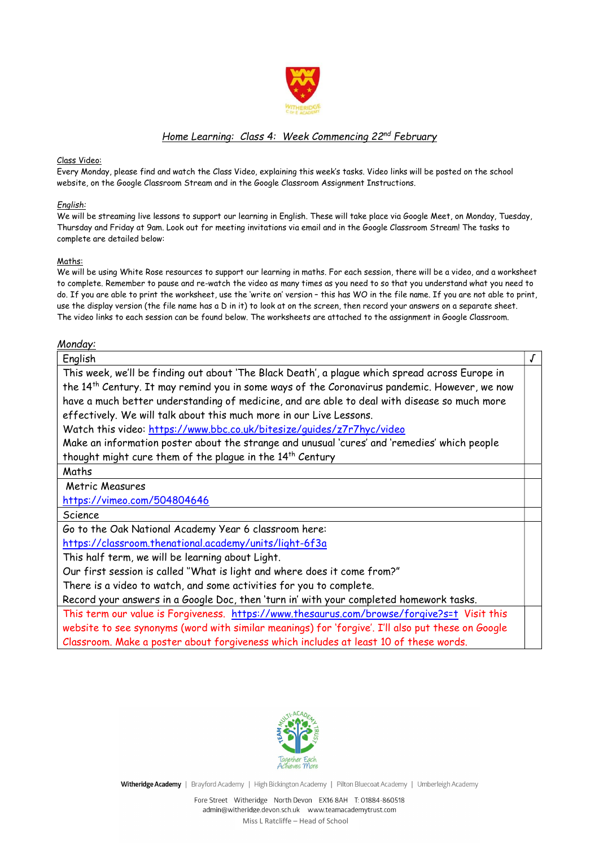

### Home Learning: Class 4: Week Commencing 22nd February

#### Class Video:

Every Monday, please find and watch the Class Video, explaining this week's tasks. Video links will be posted on the school website, on the Google Classroom Stream and in the Google Classroom Assignment Instructions.

### English:

We will be streaming live lessons to support our learning in English. These will take place via Google Meet, on Monday, Tuesday, Thursday and Friday at 9am. Look out for meeting invitations via email and in the Google Classroom Stream! The tasks to complete are detailed below:

### Maths:

We will be using White Rose resources to support our learning in maths. For each session, there will be a video, and a worksheet to complete. Remember to pause and re-watch the video as many times as you need to so that you understand what you need to do. If you are able to print the worksheet, use the 'write on' version – this has WO in the file name. If you are not able to print, use the display version (the file name has a D in it) to look at on the screen, then record your answers on a separate sheet. The video links to each session can be found below. The worksheets are attached to the assignment in Google Classroom.

### Monday:

| This week, we'll be finding out about 'The Black Death', a plague which spread across Europe in<br>the 14 <sup>th</sup> Century. It may remind you in some ways of the Coronavirus pandemic. However, we now<br>have a much better understanding of medicine, and are able to deal with disease so much more<br>effectively. We will talk about this much more in our Live Lessons.<br>Watch this video: https://www.bbc.co.uk/bitesize/quides/z7r7hyc/video<br>Make an information poster about the strange and unusual 'cures' and 'remedies' which people<br>thought might cure them of the plague in the 14 <sup>th</sup> Century<br>Maths<br>Metric Measures<br>https://vimeo.com/504804646<br>Science<br>Go to the Oak National Academy Year 6 classroom here:<br>https://classroom.thenational.academy/units/light-6f3a<br>This half term, we will be learning about Light.<br>Our first session is called "What is light and where does it come from?"<br>There is a video to watch, and some activities for you to complete.<br>Record your answers in a Google Doc, then 'turn in' with your completed homework tasks.<br>This term our value is Forgiveness. https://www.thesaurus.com/browse/forgive?s=t Visit this<br>website to see synonyms (word with similar meanings) for 'forgive'. I'll also put these on Google<br>Classroom. Make a poster about forgiveness which includes at least 10 of these words. | English |  |
|-------------------------------------------------------------------------------------------------------------------------------------------------------------------------------------------------------------------------------------------------------------------------------------------------------------------------------------------------------------------------------------------------------------------------------------------------------------------------------------------------------------------------------------------------------------------------------------------------------------------------------------------------------------------------------------------------------------------------------------------------------------------------------------------------------------------------------------------------------------------------------------------------------------------------------------------------------------------------------------------------------------------------------------------------------------------------------------------------------------------------------------------------------------------------------------------------------------------------------------------------------------------------------------------------------------------------------------------------------------------------------------------------------------------------------|---------|--|
|                                                                                                                                                                                                                                                                                                                                                                                                                                                                                                                                                                                                                                                                                                                                                                                                                                                                                                                                                                                                                                                                                                                                                                                                                                                                                                                                                                                                                               |         |  |
|                                                                                                                                                                                                                                                                                                                                                                                                                                                                                                                                                                                                                                                                                                                                                                                                                                                                                                                                                                                                                                                                                                                                                                                                                                                                                                                                                                                                                               |         |  |
|                                                                                                                                                                                                                                                                                                                                                                                                                                                                                                                                                                                                                                                                                                                                                                                                                                                                                                                                                                                                                                                                                                                                                                                                                                                                                                                                                                                                                               |         |  |
|                                                                                                                                                                                                                                                                                                                                                                                                                                                                                                                                                                                                                                                                                                                                                                                                                                                                                                                                                                                                                                                                                                                                                                                                                                                                                                                                                                                                                               |         |  |
|                                                                                                                                                                                                                                                                                                                                                                                                                                                                                                                                                                                                                                                                                                                                                                                                                                                                                                                                                                                                                                                                                                                                                                                                                                                                                                                                                                                                                               |         |  |
|                                                                                                                                                                                                                                                                                                                                                                                                                                                                                                                                                                                                                                                                                                                                                                                                                                                                                                                                                                                                                                                                                                                                                                                                                                                                                                                                                                                                                               |         |  |
|                                                                                                                                                                                                                                                                                                                                                                                                                                                                                                                                                                                                                                                                                                                                                                                                                                                                                                                                                                                                                                                                                                                                                                                                                                                                                                                                                                                                                               |         |  |
|                                                                                                                                                                                                                                                                                                                                                                                                                                                                                                                                                                                                                                                                                                                                                                                                                                                                                                                                                                                                                                                                                                                                                                                                                                                                                                                                                                                                                               |         |  |
|                                                                                                                                                                                                                                                                                                                                                                                                                                                                                                                                                                                                                                                                                                                                                                                                                                                                                                                                                                                                                                                                                                                                                                                                                                                                                                                                                                                                                               |         |  |
|                                                                                                                                                                                                                                                                                                                                                                                                                                                                                                                                                                                                                                                                                                                                                                                                                                                                                                                                                                                                                                                                                                                                                                                                                                                                                                                                                                                                                               |         |  |
|                                                                                                                                                                                                                                                                                                                                                                                                                                                                                                                                                                                                                                                                                                                                                                                                                                                                                                                                                                                                                                                                                                                                                                                                                                                                                                                                                                                                                               |         |  |
|                                                                                                                                                                                                                                                                                                                                                                                                                                                                                                                                                                                                                                                                                                                                                                                                                                                                                                                                                                                                                                                                                                                                                                                                                                                                                                                                                                                                                               |         |  |
|                                                                                                                                                                                                                                                                                                                                                                                                                                                                                                                                                                                                                                                                                                                                                                                                                                                                                                                                                                                                                                                                                                                                                                                                                                                                                                                                                                                                                               |         |  |
|                                                                                                                                                                                                                                                                                                                                                                                                                                                                                                                                                                                                                                                                                                                                                                                                                                                                                                                                                                                                                                                                                                                                                                                                                                                                                                                                                                                                                               |         |  |
|                                                                                                                                                                                                                                                                                                                                                                                                                                                                                                                                                                                                                                                                                                                                                                                                                                                                                                                                                                                                                                                                                                                                                                                                                                                                                                                                                                                                                               |         |  |
|                                                                                                                                                                                                                                                                                                                                                                                                                                                                                                                                                                                                                                                                                                                                                                                                                                                                                                                                                                                                                                                                                                                                                                                                                                                                                                                                                                                                                               |         |  |
|                                                                                                                                                                                                                                                                                                                                                                                                                                                                                                                                                                                                                                                                                                                                                                                                                                                                                                                                                                                                                                                                                                                                                                                                                                                                                                                                                                                                                               |         |  |
|                                                                                                                                                                                                                                                                                                                                                                                                                                                                                                                                                                                                                                                                                                                                                                                                                                                                                                                                                                                                                                                                                                                                                                                                                                                                                                                                                                                                                               |         |  |
|                                                                                                                                                                                                                                                                                                                                                                                                                                                                                                                                                                                                                                                                                                                                                                                                                                                                                                                                                                                                                                                                                                                                                                                                                                                                                                                                                                                                                               |         |  |
|                                                                                                                                                                                                                                                                                                                                                                                                                                                                                                                                                                                                                                                                                                                                                                                                                                                                                                                                                                                                                                                                                                                                                                                                                                                                                                                                                                                                                               |         |  |



Witheridge Academy | Brayford Academy | High Bickington Academy | Pilton Bluecoat Academy | Umberleigh Academy

Fore Street Witheridge North Devon EX16 8AH T: 01884-860518 admin@witheridge.devon.sch.uk www.teamacademytrust.com

Miss L Ratcliffe – Head of School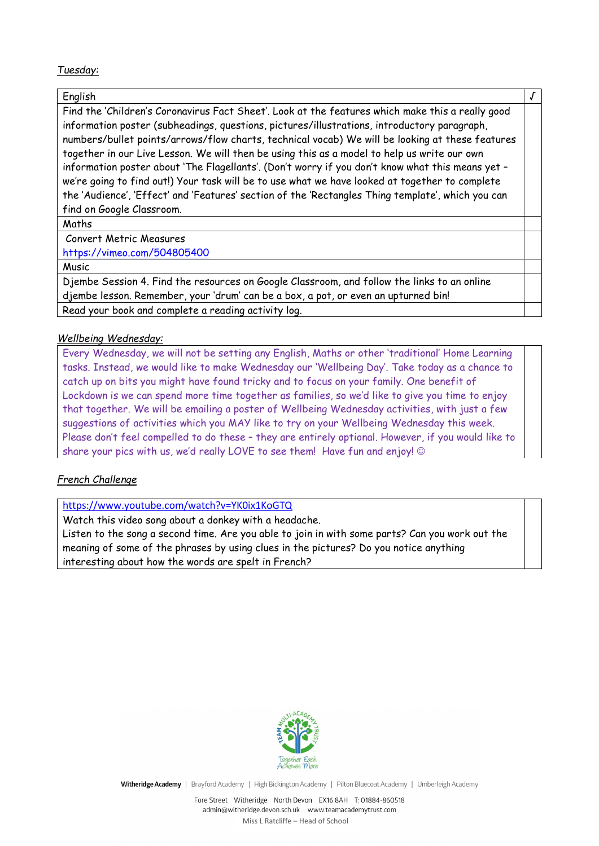## Tuesday:

## English √

Find the 'Children's Coronavirus Fact Sheet'. Look at the features which make this a really good information poster (subheadings, questions, pictures/illustrations, introductory paragraph, numbers/bullet points/arrows/flow charts, technical vocab) We will be looking at these features together in our Live Lesson. We will then be using this as a model to help us write our own information poster about 'The Flagellants'. (Don't worry if you don't know what this means yet – we're going to find out!) Your task will be to use what we have looked at together to complete the 'Audience', 'Effect' and 'Features' section of the 'Rectangles Thing template', which you can find on Google Classroom.

Maths

Convert Metric Measures

https://vimeo.com/504805400

**Music** 

Djembe Session 4. Find the resources on Google Classroom, and follow the links to an online djembe lesson. Remember, your 'drum' can be a box, a pot, or even an upturned bin! Read your book and complete a reading activity log.

## Wellbeing Wednesday:

Every Wednesday, we will not be setting any English, Maths or other 'traditional' Home Learning tasks. Instead, we would like to make Wednesday our 'Wellbeing Day'. Take today as a chance to catch up on bits you might have found tricky and to focus on your family. One benefit of Lockdown is we can spend more time together as families, so we'd like to give you time to enjoy that together. We will be emailing a poster of Wellbeing Wednesday activities, with just a few suggestions of activities which you MAY like to try on your Wellbeing Wednesday this week. Please don't feel compelled to do these – they are entirely optional. However, if you would like to share your pics with us, we'd really LOVE to see them! Have fun and enjoy!  $\odot$ 

# French Challenge

https://www.youtube.com/watch?v=YK0ix1KoGTQ

Watch this video song about a donkey with a headache. Listen to the song a second time. Are you able to join in with some parts? Can you work out the meaning of some of the phrases by using clues in the pictures? Do you notice anything interesting about how the words are spelt in French?



Witheridge Academy | Brayford Academy | High Bickington Academy | Pilton Bluecoat Academy | Umberleigh Academy

Fore Street Witheridge North Devon EX16 8AH T: 01884-860518 admin@witheridge.devon.sch.uk www.teamacademytrust.com

Miss L Ratcliffe – Head of School